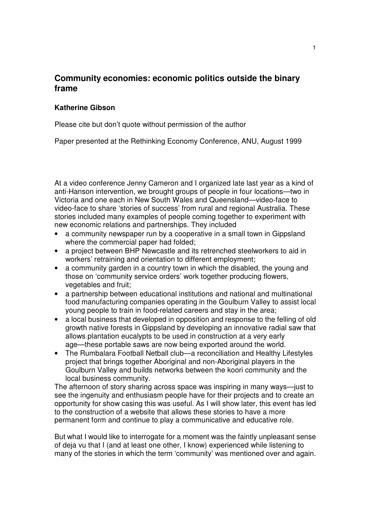## **Community economies: economic politics outside the binary frame**

## **Katherine Gibson**

Please cite but don't quote without permission of the author

Paper presented at the Rethinking Economy Conference, ANU, August 1999

At a video conference Jenny Cameron and I organized late last year as a kind of anti-Hanson intervention, we brought groups of people in four locations—two in Victoria and one each in New South Wales and Queensland—video-face to video-face to share 'stories of success' from rural and regional Australia. These stories included many examples of people coming together to experiment with new economic relations and partnerships. They included

- a community newspaper run by a cooperative in a small town in Gippsland where the commercial paper had folded;
- a project between BHP Newcastle and its retrenched steelworkers to aid in workers' retraining and orientation to different employment;
- a community garden in a country town in which the disabled, the young and those on 'community service orders' work together producing flowers, vegetables and fruit;
- a partnership between educational institutions and national and multinational food manufacturing companies operating in the Goulburn Valley to assist local young people to train in food-related careers and stay in the area;
- a local business that developed in opposition and response to the felling of old growth native forests in Gippsland by developing an innovative radial saw that allows plantation eucalypts to be used in construction at a very early age—these portable saws are now being exported around the world.
- The Rumbalara Football Netball club—a reconciliation and Healthy Lifestyles project that brings together Aboriginal and non-Aboriginal players in the Goulburn Valley and builds networks between the koori community and the local business community.

The afternoon of story sharing across space was inspiring in many ways—just to see the ingenuity and enthusiasm people have for their projects and to create an opportunity for show casing this was useful. As I will show later, this event has led to the construction of a website that allows these stories to have a more permanent form and continue to play a communicative and educative role.

But what I would like to interrogate for a moment was the faintly unpleasant sense of deja vu that I (and at least one other, I know) experienced while listening to many of the stories in which the term 'community' was mentioned over and again.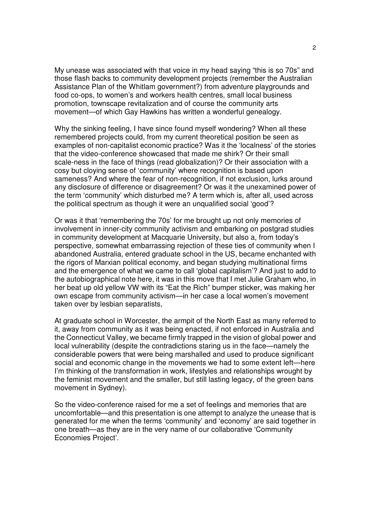My unease was associated with that voice in my head saying "this is so 70s" and those flash backs to community development projects (remember the Australian Assistance Plan of the Whitlam government?) from adventure playgrounds and food co-ops, to women's and workers health centres, small local business promotion, townscape revitalization and of course the community arts movement—of which Gay Hawkins has written a wonderful genealogy.

Why the sinking feeling, I have since found myself wondering? When all these remembered projects could, from my current theoretical position be seen as examples of non-capitalist economic practice? Was it the 'localness' of the stories that the video-conference showcased that made me shirk? Or their small scale-ness in the face of things (read globalization)? Or their association with a cosy but cloying sense of 'community' where recognition is based upon sameness? And where the fear of non-recognition, if not exclusion, lurks around any disclosure of difference or disagreement? Or was it the unexamined power of the term 'community' which disturbed me? A term which is, after all, used across the political spectrum as though it were an unqualified social 'good'?

Or was it that 'remembering the 70s' for me brought up not only memories of involvement in inner-city community activism and embarking on postgrad studies in community development at Macquarie University, but also a, from today's perspective, somewhat embarrassing rejection of these ties of community when I abandoned Australia, entered graduate school in the US, became enchanted with the rigors of Marxian political economy, and began studying multinational firms and the emergence of what we came to call 'global capitalism'? And just to add to the autobiographical note here, it was in this move that I met Julie Graham who, in her beat up old yellow VW with its "Eat the Rich" bumper sticker, was making her own escape from community activism—in her case a local women's movement taken over by lesbian separatists,

At graduate school in Worcester, the armpit of the North East as many referred to it, away from community as it was being enacted, if not enforced in Australia and the Connecticut Valley, we became firmly trapped in the vision of global power and local vulnerability (despite the contradictions staring us in the face—namely the considerable powers that were being marshalled and used to produce significant social and economic change in the movements we had to some extent left—here I'm thinking of the transformation in work, lifestyles and relationships wrought by the feminist movement and the smaller, but still lasting legacy, of the green bans movement in Sydney).

So the video-conference raised for me a set of feelings and memories that are uncomfortable—and this presentation is one attempt to analyze the unease that is generated for me when the terms 'community' and 'economy' are said together in one breath—as they are in the very name of our collaborative 'Community Economies Project'.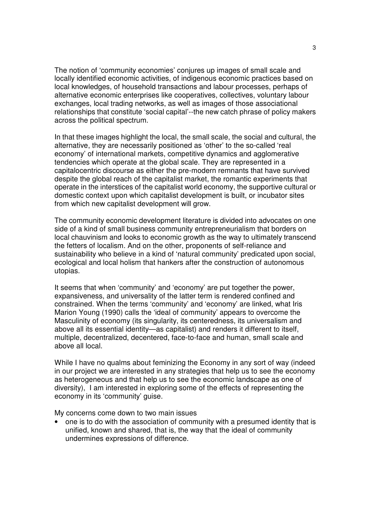The notion of 'community economies' conjures up images of small scale and locally identified economic activities, of indigenous economic practices based on local knowledges, of household transactions and labour processes, perhaps of alternative economic enterprises like cooperatives, collectives, voluntary labour exchanges, local trading networks, as well as images of those associational relationships that constitute 'social capital'--the new catch phrase of policy makers across the political spectrum.

In that these images highlight the local, the small scale, the social and cultural, the alternative, they are necessarily positioned as 'other' to the so-called 'real economy' of international markets, competitive dynamics and agglomerative tendencies which operate at the global scale. They are represented in a capitalocentric discourse as either the pre-modern remnants that have survived despite the global reach of the capitalist market, the romantic experiments that operate in the interstices of the capitalist world economy, the supportive cultural or domestic context upon which capitalist development is built, or incubator sites from which new capitalist development will grow.

The community economic development literature is divided into advocates on one side of a kind of small business community entrepreneurialism that borders on local chauvinism and looks to economic growth as the way to ultimately transcend the fetters of localism. And on the other, proponents of self-reliance and sustainability who believe in a kind of 'natural community' predicated upon social, ecological and local holism that hankers after the construction of autonomous utopias.

It seems that when 'community' and 'economy' are put together the power, expansiveness, and universality of the latter term is rendered confined and constrained. When the terms 'community' and 'economy' are linked, what Iris Marion Young (1990) calls the 'ideal of community' appears to overcome the Masculinity of economy (its singularity, its centeredness, its universalism and above all its essential identity—as capitalist) and renders it different to itself, multiple, decentralized, decentered, face-to-face and human, small scale and above all local.

While I have no qualms about feminizing the Economy in any sort of way (indeed in our project we are interested in any strategies that help us to see the economy as heterogeneous and that help us to see the economic landscape as one of diversity), I am interested in exploring some of the effects of representing the economy in its 'community' guise.

My concerns come down to two main issues

• one is to do with the association of community with a presumed identity that is unified, known and shared, that is, the way that the ideal of community undermines expressions of difference.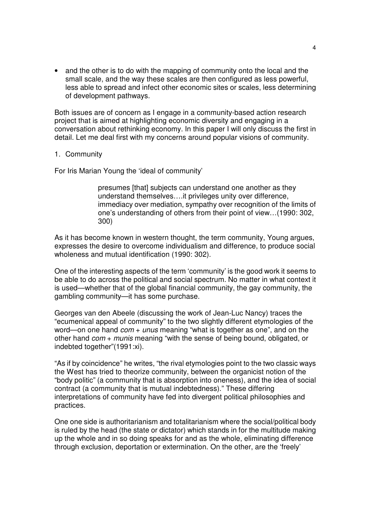• and the other is to do with the mapping of community onto the local and the small scale, and the way these scales are then configured as less powerful, less able to spread and infect other economic sites or scales, less determining of development pathways.

Both issues are of concern as I engage in a community-based action research project that is aimed at highlighting economic diversity and engaging in a conversation about rethinking economy. In this paper I will only discuss the first in detail. Let me deal first with my concerns around popular visions of community.

## 1. Community

For Iris Marian Young the 'ideal of community'

presumes [that] subjects can understand one another as they understand themselves….it privileges unity over difference, immediacy over mediation, sympathy over recognition of the limits of one's understanding of others from their point of view…(1990: 302, 300)

As it has become known in western thought, the term community, Young argues, expresses the desire to overcome individualism and difference, to produce social wholeness and mutual identification (1990: 302).

One of the interesting aspects of the term 'community' is the good work it seems to be able to do across the political and social spectrum. No matter in what context it is used—whether that of the global financial community, the gay community, the gambling community—it has some purchase.

Georges van den Abeele (discussing the work of Jean-Luc Nancy) traces the "ecumenical appeal of community" to the two slightly different etymologies of the word—on one hand  $com + unus$  meaning "what is together as one", and on the other hand  $com + munis$  meaning "with the sense of being bound, obligated, or indebted together"(1991:xi).

"As if by coincidence" he writes, "the rival etymologies point to the two classic ways the West has tried to theorize community, between the organicist notion of the "body politic" (a community that is absorption into oneness), and the idea of social contract (a community that is mutual indebtedness)." These differing interpretations of community have fed into divergent political philosophies and practices.

One one side is authoritarianism and totalitarianism where the social/political body is ruled by the head (the state or dictator) which stands in for the multitude making up the whole and in so doing speaks for and as the whole, eliminating difference through exclusion, deportation or extermination. On the other, are the 'freely'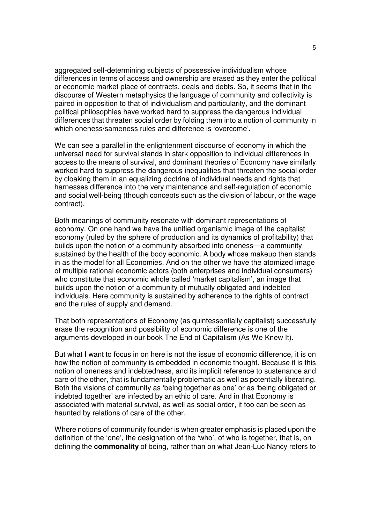aggregated self-determining subjects of possessive individualism whose differences in terms of access and ownership are erased as they enter the political or economic market place of contracts, deals and debts. So, it seems that in the discourse of Western metaphysics the language of community and collectivity is paired in opposition to that of individualism and particularity, and the dominant political philosophies have worked hard to suppress the dangerous individual differences that threaten social order by folding them into a notion of community in which oneness/sameness rules and difference is 'overcome'.

We can see a parallel in the enlightenment discourse of economy in which the universal need for survival stands in stark opposition to individual differences in access to the means of survival, and dominant theories of Economy have similarly worked hard to suppress the dangerous inequalities that threaten the social order by cloaking them in an equalizing doctrine of individual needs and rights that harnesses difference into the very maintenance and self-regulation of economic and social well-being (though concepts such as the division of labour, or the wage contract).

Both meanings of community resonate with dominant representations of economy. On one hand we have the unified organismic image of the capitalist economy (ruled by the sphere of production and its dynamics of profitability) that builds upon the notion of a community absorbed into oneness—a community sustained by the health of the body economic. A body whose makeup then stands in as the model for all Economies. And on the other we have the atomized image of multiple rational economic actors (both enterprises and individual consumers) who constitute that economic whole called 'market capitalism', an image that builds upon the notion of a community of mutually obligated and indebted individuals. Here community is sustained by adherence to the rights of contract and the rules of supply and demand.

That both representations of Economy (as quintessentially capitalist) successfully erase the recognition and possibility of economic difference is one of the arguments developed in our book The End of Capitalism (As We Knew It).

But what I want to focus in on here is not the issue of economic difference, it is on how the notion of community is embedded in economic thought. Because it is this notion of oneness and indebtedness, and its implicit reference to sustenance and care of the other, that is fundamentally problematic as well as potentially liberating. Both the visions of community as 'being together as one' or as 'being obligated or indebted together' are infected by an ethic of care. And in that Economy is associated with material survival, as well as social order, it too can be seen as haunted by relations of care of the other.

Where notions of community founder is when greater emphasis is placed upon the definition of the 'one', the designation of the 'who', of who is together, that is, on defining the **commonality** of being, rather than on what Jean-Luc Nancy refers to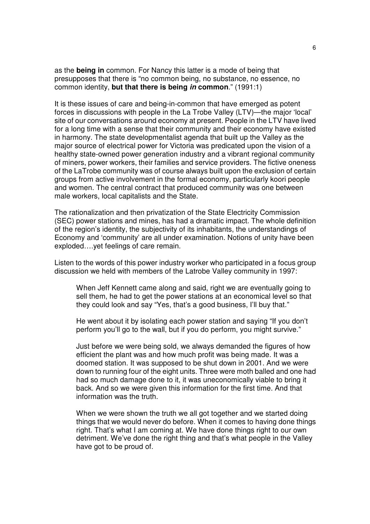as the **being in** common. For Nancy this latter is a mode of being that presupposes that there is "no common being, no substance, no essence, no common identity, **but that there is being in common**." (1991:1)

It is these issues of care and being-in-common that have emerged as potent forces in discussions with people in the La Trobe Valley (LTV)—the major 'local' site of our conversations around economy at present. People in the LTV have lived for a long time with a sense that their community and their economy have existed in harmony. The state developmentalist agenda that built up the Valley as the major source of electrical power for Victoria was predicated upon the vision of a healthy state-owned power generation industry and a vibrant regional community of miners, power workers, their families and service providers. The fictive oneness of the LaTrobe community was of course always built upon the exclusion of certain groups from active involvement in the formal economy, particularly koori people and women. The central contract that produced community was one between male workers, local capitalists and the State.

The rationalization and then privatization of the State Electricity Commission (SEC) power stations and mines, has had a dramatic impact. The whole definition of the region's identity, the subjectivity of its inhabitants, the understandings of Economy and 'community' are all under examination. Notions of unity have been exploded….yet feelings of care remain.

Listen to the words of this power industry worker who participated in a focus group discussion we held with members of the Latrobe Valley community in 1997:

When Jeff Kennett came along and said, right we are eventually going to sell them, he had to get the power stations at an economical level so that they could look and say "Yes, that's a good business, I'll buy that."

He went about it by isolating each power station and saying "If you don't perform you'll go to the wall, but if you do perform, you might survive."

Just before we were being sold, we always demanded the figures of how efficient the plant was and how much profit was being made. It was a doomed station. It was supposed to be shut down in 2001. And we were down to running four of the eight units. Three were moth balled and one had had so much damage done to it, it was uneconomically viable to bring it back. And so we were given this information for the first time. And that information was the truth.

When we were shown the truth we all got together and we started doing things that we would never do before. When it comes to having done things right. That's what I am coming at. We have done things right to our own detriment. We've done the right thing and that's what people in the Valley have got to be proud of.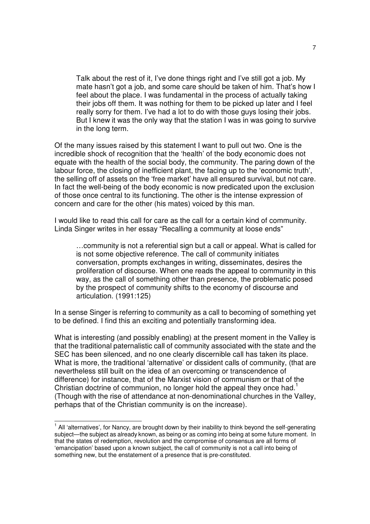Talk about the rest of it, I've done things right and I've still got a job. My mate hasn't got a job, and some care should be taken of him. That's how I feel about the place. I was fundamental in the process of actually taking their jobs off them. It was nothing for them to be picked up later and I feel really sorry for them. I've had a lot to do with those guys losing their jobs. But I knew it was the only way that the station I was in was going to survive in the long term.

Of the many issues raised by this statement I want to pull out two. One is the incredible shock of recognition that the 'health' of the body economic does not equate with the health of the social body, the community. The paring down of the labour force, the closing of inefficient plant, the facing up to the 'economic truth', the selling off of assets on the 'free market' have all ensured survival, but not care. In fact the well-being of the body economic is now predicated upon the exclusion of those once central to its functioning. The other is the intense expression of concern and care for the other (his mates) voiced by this man.

I would like to read this call for care as the call for a certain kind of community. Linda Singer writes in her essay "Recalling a community at loose ends"

…community is not a referential sign but a call or appeal. What is called for is not some objective reference. The call of community initiates conversation, prompts exchanges in writing, disseminates, desires the proliferation of discourse. When one reads the appeal to community in this way, as the call of something other than presence, the problematic posed by the prospect of community shifts to the economy of discourse and articulation. (1991:125)

In a sense Singer is referring to community as a call to becoming of something yet to be defined. I find this an exciting and potentially transforming idea.

What is interesting (and possibly enabling) at the present moment in the Valley is that the traditional paternalistic call of community associated with the state and the SEC has been silenced, and no one clearly discernible call has taken its place. What is more, the traditional 'alternative' or dissident calls of community, (that are nevertheless still built on the idea of an overcoming or transcendence of difference) for instance, that of the Marxist vision of communism or that of the Christian doctrine of communion, no longer hold the appeal they once had.<sup>1</sup> (Though with the rise of attendance at non-denominational churches in the Valley, perhaps that of the Christian community is on the increase).

 1 All 'alternatives', for Nancy, are brought down by their inability to think beyond the self-generating subject—the subject as already known, as being or as coming into being at some future moment. In that the states of redemption, revolution and the compromise of consensus are all forms of 'emancipation' based upon a known subject, the call of community is not a call into being of something new, but the enstatement of a presence that is pre-constituted.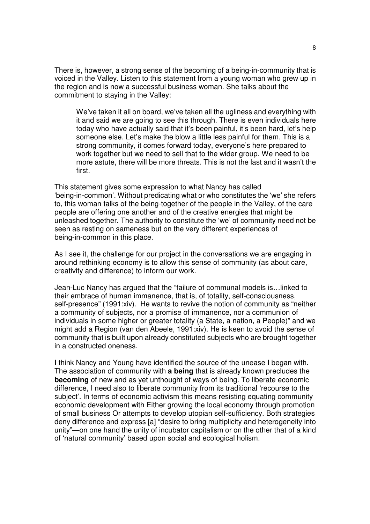There is, however, a strong sense of the becoming of a being-in-community that is voiced in the Valley. Listen to this statement from a young woman who grew up in the region and is now a successful business woman. She talks about the commitment to staying in the Valley:

We've taken it all on board, we've taken all the ugliness and everything with it and said we are going to see this through. There is even individuals here today who have actually said that it's been painful, it's been hard, let's help someone else. Let's make the blow a little less painful for them. This is a strong community, it comes forward today, everyone's here prepared to work together but we need to sell that to the wider group. We need to be more astute, there will be more threats. This is not the last and it wasn't the first.

This statement gives some expression to what Nancy has called 'being-in-common'. Without predicating what or who constitutes the 'we' she refers to, this woman talks of the being-together of the people in the Valley, of the care people are offering one another and of the creative energies that might be unleashed together. The authority to constitute the 'we' of community need not be seen as resting on sameness but on the very different experiences of being-in-common in this place.

As I see it, the challenge for our project in the conversations we are engaging in around rethinking economy is to allow this sense of community (as about care, creativity and difference) to inform our work.

Jean-Luc Nancy has argued that the "failure of communal models is…linked to their embrace of human immanence, that is, of totality, self-consciousness, self-presence" (1991:xiv). He wants to revive the notion of community as "neither a community of subjects, nor a promise of immanence, nor a communion of individuals in some higher or greater totality (a State, a nation, a People)" and we might add a Region (van den Abeele, 1991:xiv). He is keen to avoid the sense of community that is built upon already constituted subjects who are brought together in a constructed oneness.

I think Nancy and Young have identified the source of the unease I began with. The association of community with **a being** that is already known precludes the **becoming** of new and as yet unthought of ways of being. To liberate economic difference, I need also to liberate community from its traditional 'recourse to the subject'. In terms of economic activism this means resisting equating community economic development with Either growing the local economy through promotion of small business Or attempts to develop utopian self-sufficiency. Both strategies deny difference and express [a] "desire to bring multiplicity and heterogeneity into unity"—on one hand the unity of incubator capitalism or on the other that of a kind of 'natural community' based upon social and ecological holism.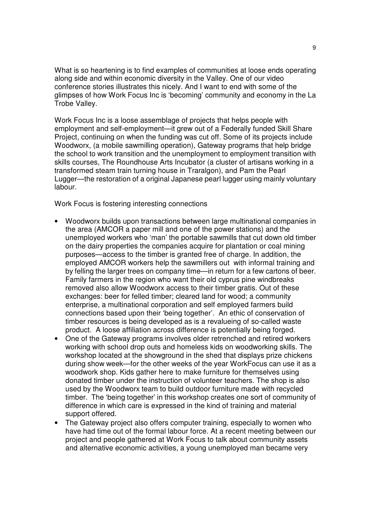What is so heartening is to find examples of communities at loose ends operating along side and within economic diversity in the Valley. One of our video conference stories illustrates this nicely. And I want to end with some of the glimpses of how Work Focus Inc is 'becoming' community and economy in the La Trobe Valley.

Work Focus Inc is a loose assemblage of projects that helps people with employment and self-employment—it grew out of a Federally funded Skill Share Project, continuing on when the funding was cut off. Some of its projects include Woodworx, (a mobile sawmilling operation), Gateway programs that help bridge the school to work transition and the unemployment to employment transition with skills courses, The Roundhouse Arts Incubator (a cluster of artisans working in a transformed steam train turning house in Traralgon), and Pam the Pearl Lugger—the restoration of a original Japanese pearl lugger using mainly voluntary labour.

Work Focus is fostering interesting connections

- Woodworx builds upon transactions between large multinational companies in the area (AMCOR a paper mill and one of the power stations) and the unemployed workers who 'man' the portable sawmills that cut down old timber on the dairy properties the companies acquire for plantation or coal mining purposes—access to the timber is granted free of charge. In addition, the employed AMCOR workers help the sawmillers out with informal training and by felling the larger trees on company time—in return for a few cartons of beer. Family farmers in the region who want their old cyprus pine windbreaks removed also allow Woodworx access to their timber gratis. Out of these exchanges: beer for felled timber; cleared land for wood; a community enterprise, a multinational corporation and self employed farmers build connections based upon their 'being together'. An ethic of conservation of timber resources is being developed as is a revalueing of so-called waste product. A loose affiliation across difference is potentially being forged.
- One of the Gateway programs involves older retrenched and retired workers working with school drop outs and homeless kids on woodworking skills. The workshop located at the showground in the shed that displays prize chickens during show week—for the other weeks of the year WorkFocus can use it as a woodwork shop. Kids gather here to make furniture for themselves using donated timber under the instruction of volunteer teachers. The shop is also used by the Woodworx team to build outdoor furniture made with recycled timber. The 'being together' in this workshop creates one sort of community of difference in which care is expressed in the kind of training and material support offered.
- The Gateway project also offers computer training, especially to women who have had time out of the formal labour force. At a recent meeting between our project and people gathered at Work Focus to talk about community assets and alternative economic activities, a young unemployed man became very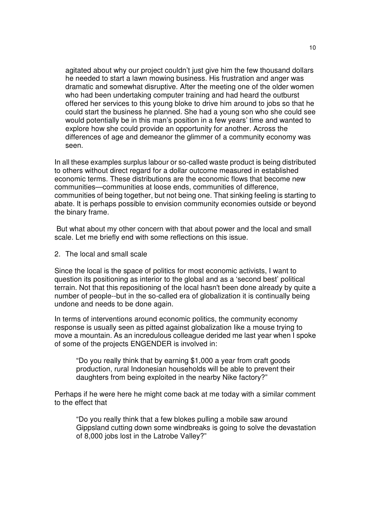agitated about why our project couldn't just give him the few thousand dollars he needed to start a lawn mowing business. His frustration and anger was dramatic and somewhat disruptive. After the meeting one of the older women who had been undertaking computer training and had heard the outburst offered her services to this young bloke to drive him around to jobs so that he could start the business he planned. She had a young son who she could see would potentially be in this man's position in a few years' time and wanted to explore how she could provide an opportunity for another. Across the differences of age and demeanor the glimmer of a community economy was seen.

In all these examples surplus labour or so-called waste product is being distributed to others without direct regard for a dollar outcome measured in established economic terms. These distributions are the economic flows that become new communities—communities at loose ends, communities of difference, communities of being together, but not being one. That sinking feeling is starting to abate. It is perhaps possible to envision community economies outside or beyond the binary frame.

 But what about my other concern with that about power and the local and small scale. Let me briefly end with some reflections on this issue.

2. The local and small scale

Since the local is the space of politics for most economic activists, I want to question its positioning as interior to the global and as a 'second best' political terrain. Not that this repositioning of the local hasn't been done already by quite a number of people--but in the so-called era of globalization it is continually being undone and needs to be done again.

In terms of interventions around economic politics, the community economy response is usually seen as pitted against globalization like a mouse trying to move a mountain. As an incredulous colleague derided me last year when I spoke of some of the projects ENGENDER is involved in:

"Do you really think that by earning \$1,000 a year from craft goods production, rural Indonesian households will be able to prevent their daughters from being exploited in the nearby Nike factory?"

Perhaps if he were here he might come back at me today with a similar comment to the effect that

"Do you really think that a few blokes pulling a mobile saw around Gippsland cutting down some windbreaks is going to solve the devastation of 8,000 jobs lost in the Latrobe Valley?"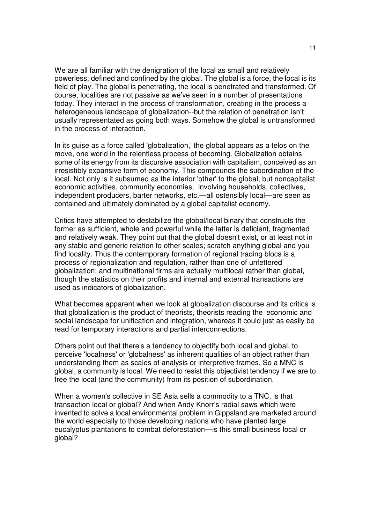We are all familiar with the denigration of the local as small and relatively powerless, defined and confined by the global. The global is a force, the local is its field of play. The global is penetrating, the local is penetrated and transformed. Of course, localities are not passive as we've seen in a number of presentations today. They interact in the process of transformation, creating in the process a heterogeneous landscape of globalization--but the relation of penetration isn't usually representated as going both ways. Somehow the global is untransformed in the process of interaction.

In its guise as a force called 'globalization,' the global appears as a telos on the move, one world in the relentless process of becoming. Globalization obtains some of its energy from its discursive association with capitalism, conceived as an irresistibly expansive form of economy. This compounds the subordination of the local. Not only is it subsumed as the interior 'other' to the global, but noncapitalist economic activities, community economies, involving households, collectives, independent producers, barter networks, etc.—all ostensibly local—are seen as contained and ultimately dominated by a global capitalist economy.

Critics have attempted to destabilize the global/local binary that constructs the former as sufficient, whole and powerful while the latter is deficient, fragmented and relatively weak. They point out that the global doesn't exist, or at least not in any stable and generic relation to other scales; scratch anything global and you find locality. Thus the contemporary formation of regional trading blocs is a process of regionalization and regulation, rather than one of unfettered globalization; and multinational firms are actually multilocal rather than global, though the statistics on their profits and internal and external transactions are used as indicators of globalization.

What becomes apparent when we look at globalization discourse and its critics is that globalization is the product of theorists, theorists reading the economic and social landscape for unification and integration, whereas it could just as easily be read for temporary interactions and partial interconnections.

Others point out that there's a tendency to objectify both local and global, to perceive 'localness' or 'globalness' as inherent qualities of an object rather than understanding them as scales of analysis or interpretive frames. So a MNC is global, a community is local. We need to resist this objectivist tendency if we are to free the local (and the community) from its position of subordination.

When a women's collective in SE Asia sells a commodity to a TNC, is that transaction local or global? And when Andy Knorr's radial saws which were invented to solve a local environmental problem in Gippsland are marketed around the world especially to those developing nations who have planted large eucalyptus plantations to combat deforestation—is this small business local or global?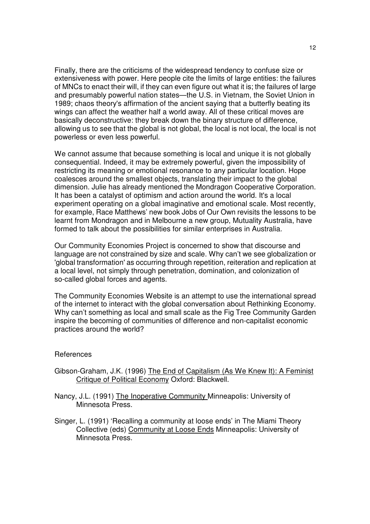Finally, there are the criticisms of the widespread tendency to confuse size or extensiveness with power. Here people cite the limits of large entities: the failures of MNCs to enact their will, if they can even figure out what it is; the failures of large and presumably powerful nation states—the U.S. in Vietnam, the Soviet Union in 1989; chaos theory's affirmation of the ancient saying that a butterfly beating its wings can affect the weather half a world away. All of these critical moves are basically deconstructive: they break down the binary structure of difference, allowing us to see that the global is not global, the local is not local, the local is not powerless or even less powerful.

We cannot assume that because something is local and unique it is not globally consequential. Indeed, it may be extremely powerful, given the impossibility of restricting its meaning or emotional resonance to any particular location. Hope coalesces around the smallest objects, translating their impact to the global dimension. Julie has already mentioned the Mondragon Cooperative Corporation. It has been a catalyst of optimism and action around the world. It's a local experiment operating on a global imaginative and emotional scale. Most recently, for example, Race Matthews' new book Jobs of Our Own revisits the lessons to be learnt from Mondragon and in Melbourne a new group, Mutuality Australia, have formed to talk about the possibilities for similar enterprises in Australia.

Our Community Economies Project is concerned to show that discourse and language are not constrained by size and scale. Why can't we see globalization or 'global transformation' as occurring through repetition, reiteration and replication at a local level, not simply through penetration, domination, and colonization of so-called global forces and agents.

The Community Economies Website is an attempt to use the international spread of the internet to interact with the global conversation about Rethinking Economy. Why can't something as local and small scale as the Fig Tree Community Garden inspire the becoming of communities of difference and non-capitalist economic practices around the world?

## References

- Gibson-Graham, J.K. (1996) The End of Capitalism (As We Knew It): A Feminist Critique of Political Economy Oxford: Blackwell.
- Nancy, J.L. (1991) The Inoperative Community Minneapolis: University of Minnesota Press.
- Singer, L. (1991) 'Recalling a community at loose ends' in The Miami Theory Collective (eds) Community at Loose Ends Minneapolis: University of Minnesota Press.